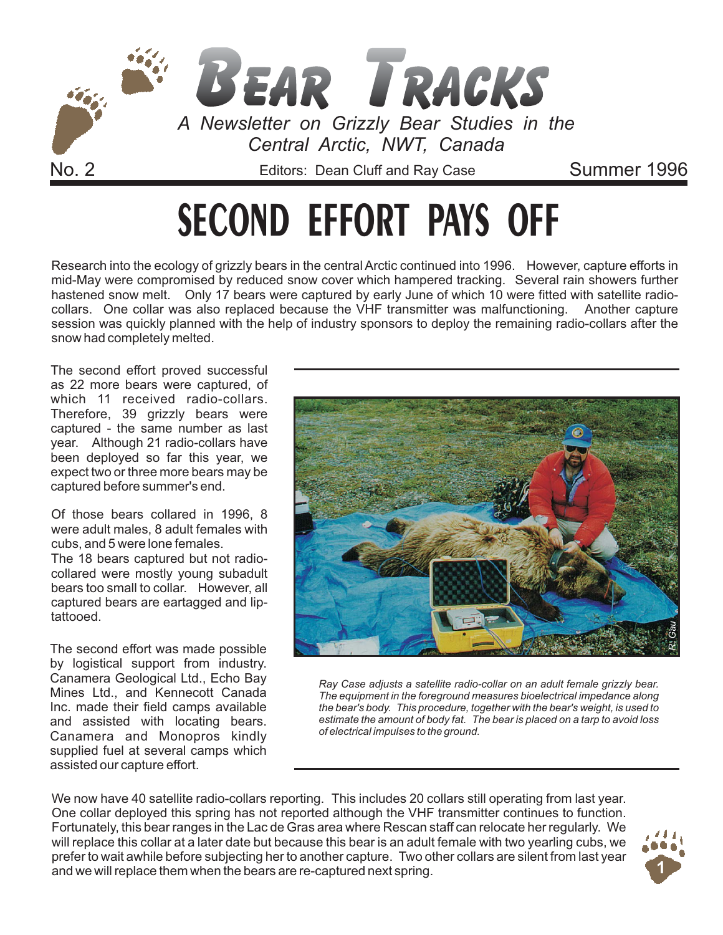

# **SECOND EFFORT PAYS OFF**

Research into the ecology of grizzly bears in the central Arctic continued into 1996. However, capture efforts in mid-May were compromised by reduced snow cover which hampered tracking. Several rain showers further hastened snow melt. Only 17 bears were captured by early June of which 10 were fitted with satellite radiocollars. One collar was also replaced because the VHF transmitter was malfunctioning. Another capture session was quickly planned with the help of industry sponsors to deploy the remaining radio-collars after the snow had completely melted.

The second effort proved successful as 22 more bears were captured, of which 11 received radio-collars. Therefore, 39 grizzly bears were captured - the same number as last year. Although 21 radio-collars have been deployed so far this year, we expect two or three more bears may be captured before summer's end.

Of those bears collared in 1996, 8 were adult males, 8 adult females with cubs, and 5 were lone females.

The 18 bears captured but not radiocollared were mostly young subadult bears too small to collar. However, all captured bears are eartagged and liptattooed.

The second effort was made possible by logistical support from industry. Canamera Geological Ltd., Echo Bay Mines Ltd., and Kennecott Canada Inc. made their field camps available and assisted with locating bears. Canamera and Monopros kindly supplied fuel at several camps which assisted our capture effort.



*Ray Case adjusts a satellite radio-collar on an adult female grizzly bear. The equipment in the foreground measures bioelectrical impedance along the bear's body. This procedure, together with the bear's weight, is used to estimate the amount of body fat. The bear is placed on a tarp to avoid loss of electrical impulses to the ground.*

We now have 40 satellite radio-collars reporting. This includes 20 collars still operating from last year. One collar deployed this spring has not reported although the VHF transmitter continues to function. Fortunately, this bear ranges in the Lac de Gras area where Rescan staff can relocate her regularly. We will replace this collar at a later date but because this bear is an adult female with two yearling cubs, we prefer to wait awhile before subjecting her to another capture. Two other collars are silent from last year and we will replace them when the bears are re-captured next spring. **1**

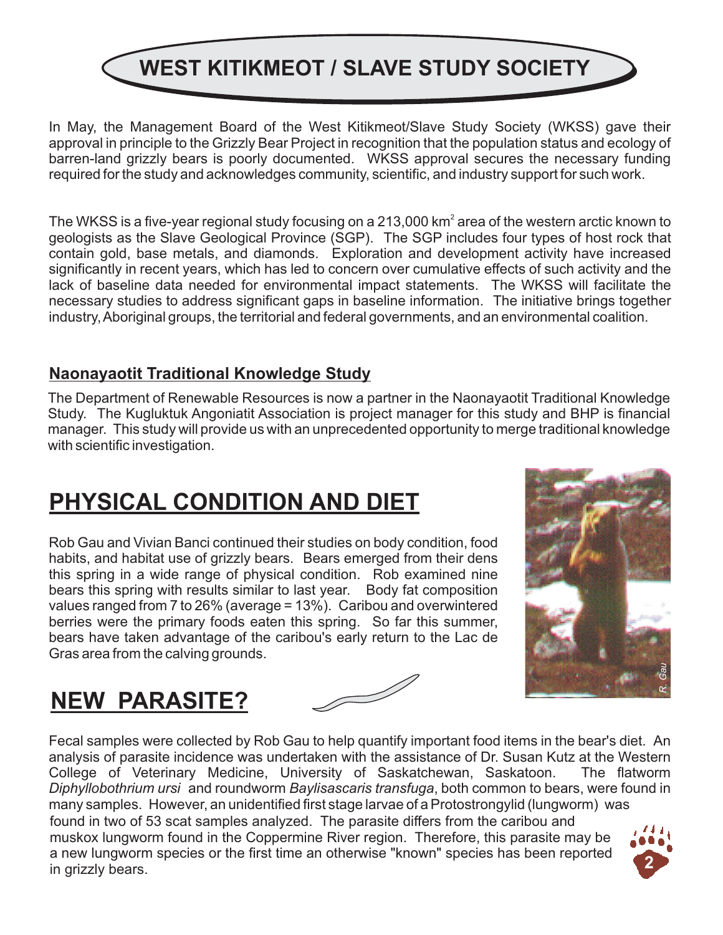## **WEST KITIKMEOT / SLAVE STUDY SOCIETY**

In May, the Management Board of the West Kitikmeot/Slave Study Society (WKSS) gave their approval in principle to the Grizzly Bear Project in recognition that the population status and ecology of barren-land grizzly bears is poorly documented. WKSS approval secures the necessary funding required for the study and acknowledges community, scientific, and industry support for such work.

The WKSS is a five-year regional study focusing on a 213,000 km $^{\circ}$  area of the western arctic known to geologists as the Slave Geological Province (SGP). The SGP includes four types of host rock that contain gold, base metals, and diamonds. Exploration and development activity have increased significantly in recent years, which has led to concern over cumulative effects of such activity and the lack of baseline data needed for environmental impact statements. The WKSS will facilitate the necessary studies to address significant gaps in baseline information. The initiative brings together industry, Aboriginal groups, the territorial and federal governments, and an environmental coalition.

#### **Naonayaotit Traditional Knowledge Study**

The Department of Renewable Resources is now a partner in the Naonayaotit Traditional Knowledge Study. The Kugluktuk Angoniatit Association is project manager for this study and BHP is financial manager. This study will provide us with an unprecedented opportunity to merge traditional knowledge with scientific investigation.

### **PHYSICAL CONDITION AND DIET**

Rob Gau and Vivian Banci continued their studies on body condition, food habits, and habitat use of grizzly bears. Bears emerged from their dens this spring in a wide range of physical condition. Rob examined nine bears this spring with results similar to last year. Body fat composition values ranged from 7 to 26% (average = 13%). Caribou and overwintered berries were the primary foods eaten this spring. So far this summer, bears have taken advantage of the caribou's early return to the Lac de Gras area from the calving grounds.



### **NEW PARASITE?**

Fecal samples were collected by Rob Gau to help quantify important food items in the bear's diet. An analysis of parasite incidence was undertaken with the assistance of Dr. Susan Kutz at the Western College of Veterinary Medicine, University of Saskatchewan, Saskatoon. The flatworm Diphyllobothrium ursi and roundworm Baylisascaris transfuga, both common to bears, were found in many samples. However, an unidentified first stage larvae of a Protostrongylid (lungworm) was found in two of 53 scat samples analyzed. The parasite differs from the caribou and muskox lungworm found in the Coppermine River region. Therefore, this parasite may be a new lungworm species or the first time an otherwise "known" species has been reported in grizzly bears.

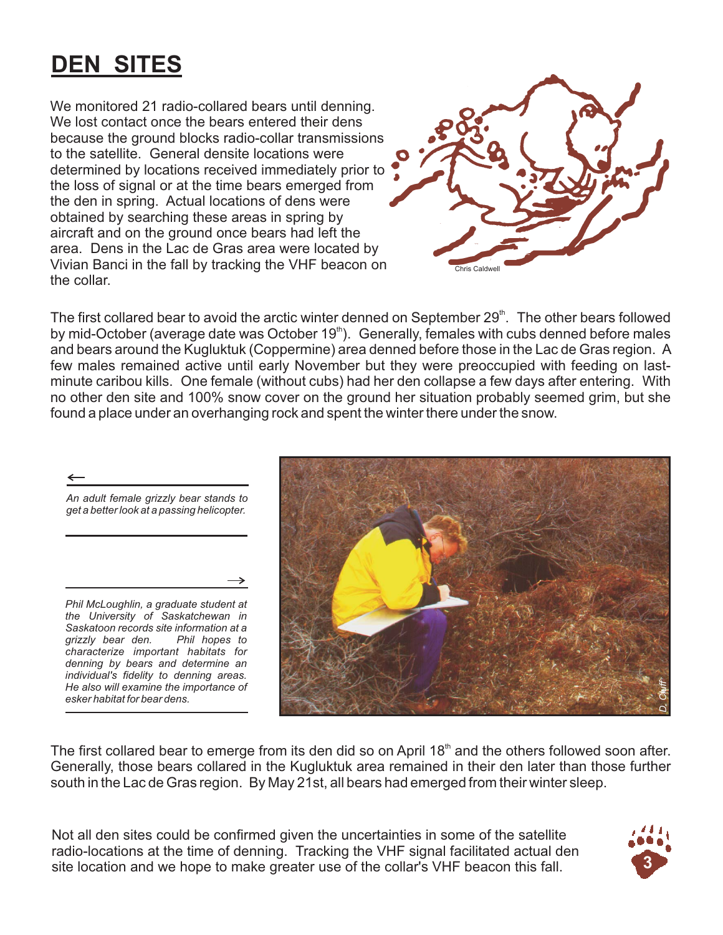### **DEN SITES**

We monitored 21 radio-collared bears until denning. We lost contact once the bears entered their dens because the ground blocks radio-collar transmissions to the satellite. General densite locations were determined by locations received immediately prior to the loss of signal or at the time bears emerged from the den in spring. Actual locations of dens were obtained by searching these areas in spring by aircraft and on the ground once bears had left the area. Dens in the Lac de Gras area were located by Vivian Banci in the fall by tracking the VHF beacon on the collar.



The first collared bear to avoid the arctic winter denned on September  $29<sup>th</sup>$ . The other bears followed by mid-October (average date was October 19<sup>th</sup>). Generally, females with cubs denned before males and bears around the Kugluktuk (Coppermine) area denned before those in the Lac de Gras region. A few males remained active until early November but they were preoccupied with feeding on lastminute caribou kills. One female (without cubs) had her den collapse a few days after entering. With no other den site and 100% snow cover on the ground her situation probably seemed grim, but she found a place under an overhanging rock and spent the winter there under the snow.

*An adult female grizzly bear stands to get a better look at a passing helicopter.*

*Phil McLoughlin, a graduate student at the University of Saskatchewan in Saskatoon records site information at a grizzly bear den. Phil hopes to characterize important habitats for denning by bears and determine an individual's fidelity to denning areas. He also will examine the importance of esker habitat for bear dens.*



The first collared bear to emerge from its den did so on April 18 $<sup>th</sup>$  and the others followed soon after.</sup> Generally, those bears collared in the Kugluktuk area remained in their den later than those further south in the Lac de Gras region. By May 21st, all bears had emerged from their winter sleep.

Not all den sites could be confirmed given the uncertainties in some of the satellite radio-locations at the time of denning. Tracking the VHF signal facilitated actual den site location and we hope to make greater use of the collar's VHF beacon this fall. **3**